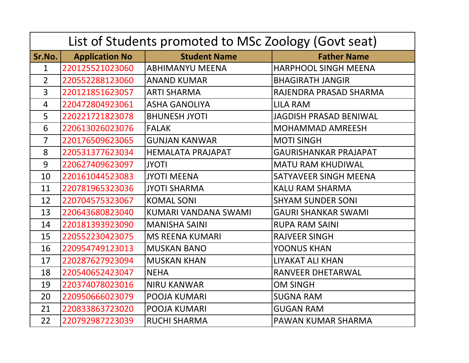| List of Students promoted to MSc Zoology (Govt seat) |                       |                          |                               |  |
|------------------------------------------------------|-----------------------|--------------------------|-------------------------------|--|
| Sr.No.                                               | <b>Application No</b> | <b>Student Name</b>      | <b>Father Name</b>            |  |
| $\mathbf{1}$                                         | 220125521023060       | <b>ABHIMANYU MEENA</b>   | <b>HARPHOOL SINGH MEENA</b>   |  |
| $\overline{2}$                                       | 220552288123060       | <b>ANAND KUMAR</b>       | <b>BHAGIRATH JANGIR</b>       |  |
| $\overline{3}$                                       | 220121851623057       | <b>ARTI SHARMA</b>       | RAJENDRA PRASAD SHARMA        |  |
| 4                                                    | 220472804923061       | <b>ASHA GANOLIYA</b>     | <b>LILA RAM</b>               |  |
| 5                                                    | 220221721823078       | <b>BHUNESH JYOTI</b>     | <b>JAGDISH PRASAD BENIWAL</b> |  |
| 6                                                    | 220613026023076       | <b>FALAK</b>             | <b>MOHAMMAD AMREESH</b>       |  |
| $\overline{7}$                                       | 220176509623065       | <b>GUNJAN KANWAR</b>     | <b>MOTI SINGH</b>             |  |
| 8                                                    | 220531377623034       | <b>HEMALATA PRAJAPAT</b> | <b>GAURISHANKAR PRAJAPAT</b>  |  |
| 9                                                    | 220627409623097       | <b>JYOTI</b>             | <b>MATU RAM KHUDIWAL</b>      |  |
| 10                                                   | 220161044523083       | <b>JYOTI MEENA</b>       | <b>SATYAVEER SINGH MEENA</b>  |  |
| 11                                                   | 220781965323036       | <b>JYOTI SHARMA</b>      | <b>KALU RAM SHARMA</b>        |  |
| 12                                                   | 220704575323067       | <b>KOMAL SONI</b>        | <b>SHYAM SUNDER SONI</b>      |  |
| 13                                                   | 220643680823040       | KUMARI VANDANA SWAMI     | <b>GAURI SHANKAR SWAMI</b>    |  |
| 14                                                   | 220181393923090       | <b>MANISHA SAINI</b>     | <b>RUPA RAM SAINI</b>         |  |
| 15                                                   | 220552230423075       | <b>MS REENA KUMARI</b>   | <b>RAJVEER SINGH</b>          |  |
| 16                                                   | 220954749123013       | <b>MUSKAN BANO</b>       | <b>YOONUS KHAN</b>            |  |
| 17                                                   | 220287627923094       | <b>MUSKAN KHAN</b>       | <b>LIYAKAT ALI KHAN</b>       |  |
| 18                                                   | 220540652423047       | <b>NEHA</b>              | <b>RANVEER DHETARWAL</b>      |  |
| 19                                                   | 220374078023016       | <b>NIRU KANWAR</b>       | <b>OM SINGH</b>               |  |
| 20                                                   | 220950666023079       | <b>POOJA KUMARI</b>      | <b>SUGNA RAM</b>              |  |
| 21                                                   | 220833863723020       | <b>POOJA KUMARI</b>      | <b>GUGAN RAM</b>              |  |
| 22                                                   | 220792987223039       | <b>RUCHI SHARMA</b>      | PAWAN KUMAR SHARMA            |  |